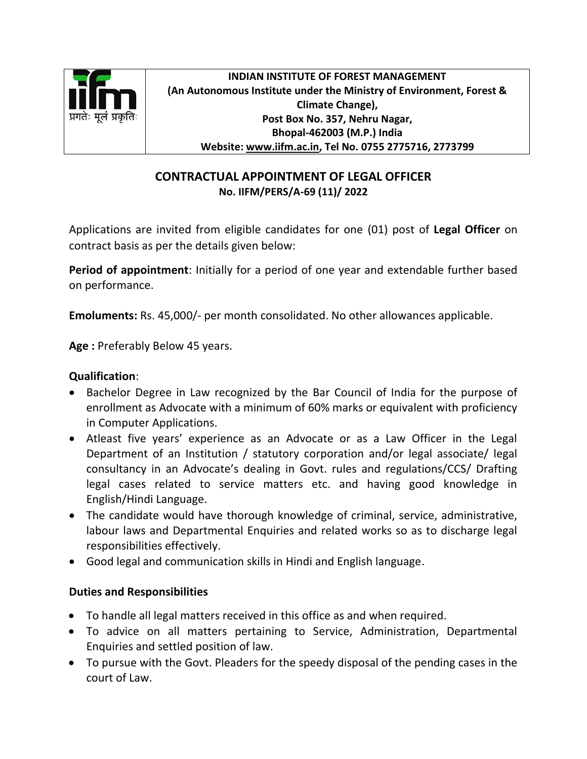

**INDIAN INSTITUTE OF FOREST MANAGEMENT (An Autonomous Institute under the Ministry of Environment, Forest & Climate Change), Post Box No. 357, Nehru Nagar, Bhopal-462003 (M.P.) India Website: [www.iifm.ac.in,](http://www.iifm.ac.in/) Tel No. 0755 2775716, 2773799**

## **CONTRACTUAL APPOINTMENT OF LEGAL OFFICER No. IIFM/PERS/A-69 (11)/ 2022**

Applications are invited from eligible candidates for one (01) post of **Legal Officer** on contract basis as per the details given below:

**Period of appointment**: Initially for a period of one year and extendable further based on performance.

**Emoluments:** Rs. 45,000/- per month consolidated. No other allowances applicable.

**Age :** Preferably Below 45 years.

## **Qualification**:

- Bachelor Degree in Law recognized by the Bar Council of India for the purpose of enrollment as Advocate with a minimum of 60% marks or equivalent with proficiency in Computer Applications.
- Atleast five years' experience as an Advocate or as a Law Officer in the Legal Department of an Institution / statutory corporation and/or legal associate/ legal consultancy in an Advocate's dealing in Govt. rules and regulations/CCS/ Drafting legal cases related to service matters etc. and having good knowledge in English/Hindi Language.
- The candidate would have thorough knowledge of criminal, service, administrative, labour laws and Departmental Enquiries and related works so as to discharge legal responsibilities effectively.
- Good legal and communication skills in Hindi and English language.

## **Duties and Responsibilities**

- To handle all legal matters received in this office as and when required.
- To advice on all matters pertaining to Service, Administration, Departmental Enquiries and settled position of law.
- To pursue with the Govt. Pleaders for the speedy disposal of the pending cases in the court of Law.